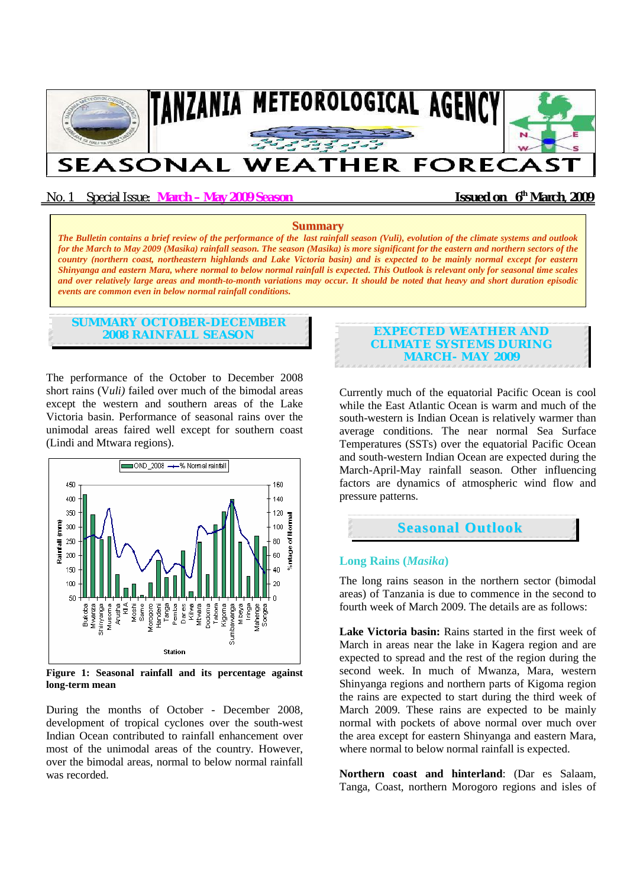

No. 1 Special Issue: **March – May 2009 Season Issued on 6<sup>th</sup> March**, **2009** 

#### **Summary**

*The Bulletin contains a brief review of the performance of the last rainfall season (Vuli), evolution of the climate systems and outlook for the March to May 2009 (Masika) rainfall season. The season (Masika) is more significant for the eastern and northern sectors of the country (northern coast, northeastern highlands and Lake Victoria basin) and is expected to be mainly normal except for eastern Shinyanga and eastern Mara, where normal to below normal rainfall is expected. This Outlook is relevant only for seasonal time scales and over relatively large areas and month-to-month variations may occur. It should be noted that heavy and short duration episodic events are common even in below normal rainfall conditions.*

# **SUMMARY OCTOBER-DECEMBER 2008 RAINFALL SEASON**

The performance of the October to December 2008 short rains (V*uli)* failed over much of the bimodal areas except the western and southern areas of the Lake Victoria basin. Performance of seasonal rains over the unimodal areas faired well except for southern coast (Lindi and Mtwara regions).



**Figure 1: Seasonal rainfall and its percentage against long-term mean** 

During the months of October - December 2008, development of tropical cyclones over the south-west Indian Ocean contributed to rainfall enhancement over most of the unimodal areas of the country. However, over the bimodal areas, normal to below normal rainfall was recorded.

### **EXPECTED WEATHER AND CLIMATE SYSTEMS DURING MARCH- MAY 2009**

Currently much of the equatorial Pacific Ocean is cool while the East Atlantic Ocean is warm and much of the south-western is Indian Ocean is relatively warmer than average conditions. The near normal Sea Surface Temperatures (SSTs) over the equatorial Pacific Ocean and south-western Indian Ocean are expected during the March-April-May rainfall season. Other influencing factors are dynamics of atmospheric wind flow and pressure patterns.



# **Long Rains (***Masika***)**

The long rains season in the northern sector (bimodal areas) of Tanzania is due to commence in the second to fourth week of March 2009. The details are as follows:

**Lake Victoria basin:** Rains started in the first week of March in areas near the lake in Kagera region and are expected to spread and the rest of the region during the second week. In much of Mwanza, Mara, western Shinyanga regions and northern parts of Kigoma region the rains are expected to start during the third week of March 2009. These rains are expected to be mainly normal with pockets of above normal over much over the area except for eastern Shinyanga and eastern Mara, where normal to below normal rainfall is expected.

**Northern coast and hinterland**: (Dar es Salaam, Tanga, Coast, northern Morogoro regions and isles of